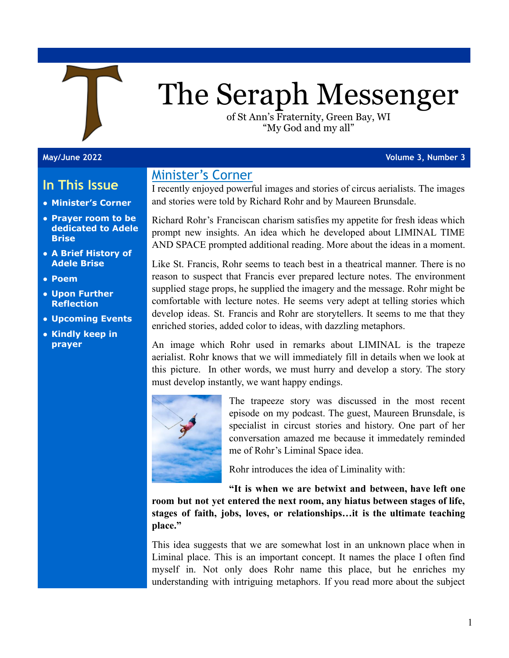

# The Seraph Messenger

of St Ann's Fraternity, Green Bay, WI "My God and my all"

#### **May/June 2022 Volume 3, Number 3**

# **In This Issue**

- **● Minister's Corner**
- **● Prayer room to be dedicated to Adele Brise**
- **● A Brief History of Adele Brise**
- **● Poem**
- **● Upon Further Reflection**
- **● Upcoming Events**
- **● Kindly keep in prayer**

# Minister's Corner

I recently enjoyed powerful images and stories of circus aerialists. The images and stories were told by Richard Rohr and by Maureen Brunsdale.

Richard Rohr's Franciscan charism satisfies my appetite for fresh ideas which prompt new insights. An idea which he developed about LIMINAL TIME AND SPACE prompted additional reading. More about the ideas in a moment.

Like St. Francis, Rohr seems to teach best in a theatrical manner. There is no reason to suspect that Francis ever prepared lecture notes. The environment supplied stage props, he supplied the imagery and the message. Rohr might be comfortable with lecture notes. He seems very adept at telling stories which develop ideas. St. Francis and Rohr are storytellers. It seems to me that they enriched stories, added color to ideas, with dazzling metaphors.

An image which Rohr used in remarks about LIMINAL is the trapeze aerialist. Rohr knows that we will immediately fill in details when we look at this picture. In other words, we must hurry and develop a story. The story must develop instantly, we want happy endings.



The trapeeze story was discussed in the most recent episode on my podcast. The guest, Maureen Brunsdale, is specialist in circust stories and history. One part of her conversation amazed me because it immedately reminded me of Rohr's Liminal Space idea.

Rohr introduces the idea of Liminality with:

**"It is when we are betwixt and between, have left one room but not yet entered the next room, any hiatus between stages of life, stages of faith, jobs, loves, or relationships…it is the ultimate teaching place."**

This idea suggests that we are somewhat lost in an unknown place when in Liminal place. This is an important concept. It names the place I often find myself in. Not only does Rohr name this place, but he enriches my understanding with intriguing metaphors. If you read more about the subject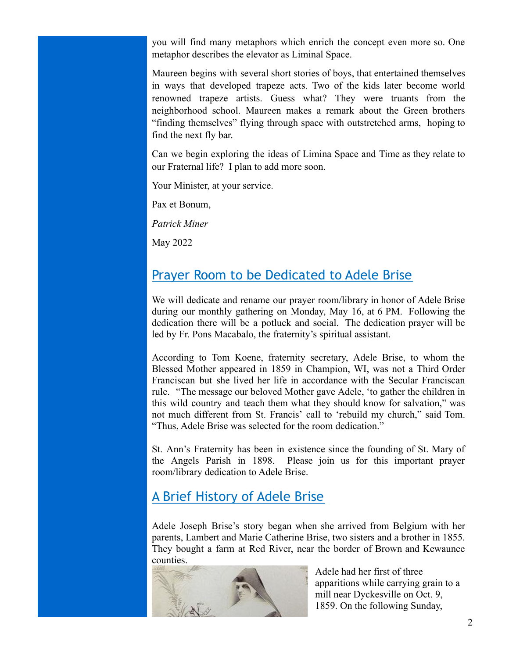you will find many metaphors which enrich the concept even more so. One metaphor describes the elevator as Liminal Space.

Maureen begins with several short stories of boys, that entertained themselves in ways that developed trapeze acts. Two of the kids later become world renowned trapeze artists. Guess what? They were truants from the neighborhood school. Maureen makes a remark about the Green brothers "finding themselves" flying through space with outstretched arms, hoping to find the next fly bar.

Can we begin exploring the ideas of Limina Space and Time as they relate to our Fraternal life? I plan to add more soon.

Your Minister, at your service.

Pax et Bonum,

*Patrick Miner*

May 2022

## Prayer Room to be Dedicated to Adele Brise

We will dedicate and rename our prayer room/library in honor of Adele Brise during our monthly gathering on Monday, May 16, at 6 PM. Following the dedication there will be a potluck and social. The dedication prayer will be led by Fr. Pons Macabalo, the fraternity's spiritual assistant.

According to Tom Koene, fraternity secretary, Adele Brise, to whom the Blessed Mother appeared in 1859 in Champion, WI, was not a Third Order Franciscan but she lived her life in accordance with the Secular Franciscan rule. "The message our beloved Mother gave Adele, 'to gather the children in this wild country and teach them what they should know for salvation," was not much different from St. Francis' call to 'rebuild my church," said Tom. "Thus, Adele Brise was selected for the room dedication."

St. Ann's Fraternity has been in existence since the founding of St. Mary of the Angels Parish in 1898. Please join us for this important prayer room/library dedication to Adele Brise.

# A Brief History of Adele Brise

Adele Joseph Brise's story began when she arrived from Belgium with her parents, Lambert and Marie Catherine Brise, two sisters and a brother in 1855. They bought a farm at Red River, near the border of Brown and Kewaunee counties.



Adele had her first of three apparitions while carrying grain to a mill near Dyckesville on Oct. 9, 1859. On the following Sunday,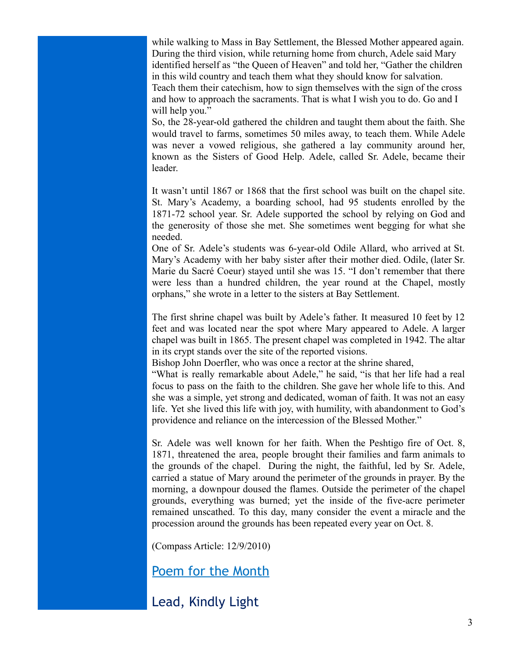while walking to Mass in Bay Settlement, the Blessed Mother appeared again. During the third vision, while returning home from church, Adele said Mary identified herself as "the Queen of Heaven" and told her, "Gather the children in this wild country and teach them what they should know for salvation. Teach them their catechism, how to sign themselves with the sign of the cross and how to approach the sacraments. That is what I wish you to do. Go and I will help you."

So, the 28-year-old gathered the children and taught them about the faith. She would travel to farms, sometimes 50 miles away, to teach them. While Adele was never a vowed religious, she gathered a lay community around her, known as the Sisters of Good Help. Adele, called Sr. Adele, became their leader.

It wasn't until 1867 or 1868 that the first school was built on the chapel site. St. Mary's Academy, a boarding school, had 95 students enrolled by the 1871-72 school year. Sr. Adele supported the school by relying on God and the generosity of those she met. She sometimes went begging for what she needed.

One of Sr. Adele's students was 6-year-old Odile Allard, who arrived at St. Mary's Academy with her baby sister after their mother died. Odile, (later Sr. Marie du Sacré Coeur) stayed until she was 15. "I don't remember that there were less than a hundred children, the year round at the Chapel, mostly orphans," she wrote in a letter to the sisters at Bay Settlement.

The first shrine chapel was built by Adele's father. It measured 10 feet by 12 feet and was located near the spot where Mary appeared to Adele. A larger chapel was built in 1865. The present chapel was completed in 1942. The altar in its crypt stands over the site of the reported visions.

Bishop John Doerfler, who was once a rector at the shrine shared,

"What is really remarkable about Adele," he said, "is that her life had a real focus to pass on the faith to the children. She gave her whole life to this. And she was a simple, yet strong and dedicated, woman of faith. It was not an easy life. Yet she lived this life with joy, with humility, with abandonment to God's providence and reliance on the intercession of the Blessed Mother."

Sr. Adele was well known for her faith. When the Peshtigo fire of Oct. 8, 1871, threatened the area, people brought their families and farm animals to the grounds of the chapel. During the night, the faithful, led by Sr. Adele, carried a statue of Mary around the perimeter of the grounds in prayer. By the morning, a downpour doused the flames. Outside the perimeter of the chapel grounds, everything was burned; yet the inside of the five-acre perimeter remained unscathed. To this day, many consider the event a miracle and the procession around the grounds has been repeated every year on Oct. 8.

(Compass Article: 12/9/2010)

Poem for the Month

Lead, Kindly Light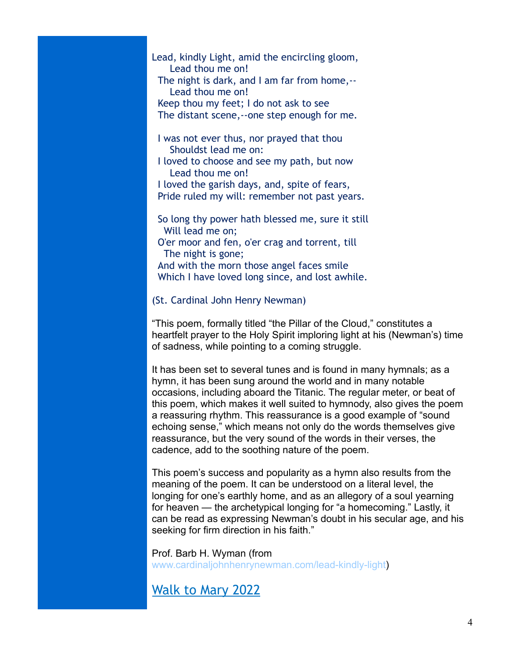#### Lead, kindly Light, amid the encircling gloom, Lead thou me on! The night is dark, and I am far from home,-- Lead thou me on! Keep thou my feet; I do not ask to see

The distant scene,--one step enough for me.

- I was not ever thus, nor prayed that thou Shouldst lead me on:
- I loved to choose and see my path, but now Lead thou me on!
- I loved the garish days, and, spite of fears, Pride ruled my will: remember not past years.
- So long thy power hath blessed me, sure it still Will lead me on; O'er moor and fen, o'er crag and torrent, till The night is gone; And with the morn those angel faces smile Which I have loved long since, and lost awhile.

#### (St. Cardinal John Henry Newman)

"This poem, formally titled "the Pillar of the Cloud," constitutes a heartfelt prayer to the Holy Spirit imploring light at his (Newman's) time of sadness, while pointing to a coming struggle.

It has been set to several tunes and is found in many hymnals; as a hymn, it has been sung around the world and in many notable occasions, including aboard the Titanic. The regular meter, or beat of this poem, which makes it well suited to hymnody, also gives the poem a reassuring rhythm. This reassurance is a good example of "sound echoing sense," which means not only do the words themselves give reassurance, but the very sound of the words in their verses, the cadence, add to the soothing nature of the poem.

This poem's success and popularity as a hymn also results from the meaning of the poem. It can be understood on a literal level, the longing for one's earthly home, and as an allegory of a soul yearning for heaven — the archetypical longing for "a homecoming." Lastly, it can be read as expressing Newman's doubt in his secular age, and his seeking for firm direction in his faith."

Prof. Barb H. Wyman (from [www.cardinaljohnhenrynewman.com/lead-kindly-light](http://www.cardinaljohnhenrynewman.com/lead-kindly-light))

# Walk to Mary 2022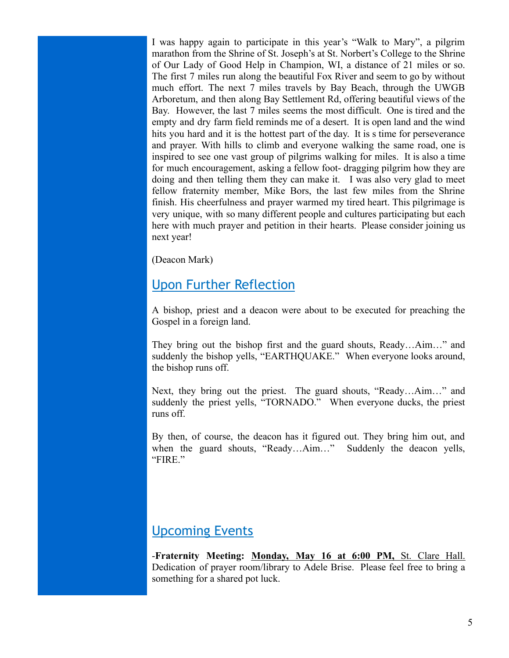I was happy again to participate in this year's "Walk to Mary", a pilgrim marathon from the Shrine of St. Joseph's at St. Norbert's College to the Shrine of Our Lady of Good Help in Champion, WI, a distance of 21 miles or so. The first 7 miles run along the beautiful Fox River and seem to go by without much effort. The next 7 miles travels by Bay Beach, through the UWGB Arboretum, and then along Bay Settlement Rd, offering beautiful views of the Bay. However, the last 7 miles seems the most difficult. One is tired and the empty and dry farm field reminds me of a desert. It is open land and the wind hits you hard and it is the hottest part of the day. It is s time for perseverance and prayer. With hills to climb and everyone walking the same road, one is inspired to see one vast group of pilgrims walking for miles. It is also a time for much encouragement, asking a fellow foot- dragging pilgrim how they are doing and then telling them they can make it. I was also very glad to meet fellow fraternity member, Mike Bors, the last few miles from the Shrine finish. His cheerfulness and prayer warmed my tired heart. This pilgrimage is very unique, with so many different people and cultures participating but each here with much prayer and petition in their hearts. Please consider joining us next year!

(Deacon Mark)

# Upon Further Reflection

A bishop, priest and a deacon were about to be executed for preaching the Gospel in a foreign land.

They bring out the bishop first and the guard shouts, Ready…Aim…" and suddenly the bishop yells, "EARTHQUAKE." When everyone looks around, the bishop runs off.

Next, they bring out the priest. The guard shouts, "Ready…Aim…" and suddenly the priest yells, "TORNADO." When everyone ducks, the priest runs off.

By then, of course, the deacon has it figured out. They bring him out, and when the guard shouts, "Ready…Aim…" Suddenly the deacon yells, "FIRE."

# Upcoming Events

-**Fraternity Meeting: Monday, May 16 at 6:00 PM,** St. Clare Hall. Dedication of prayer room/library to Adele Brise. Please feel free to bring a something for a shared pot luck.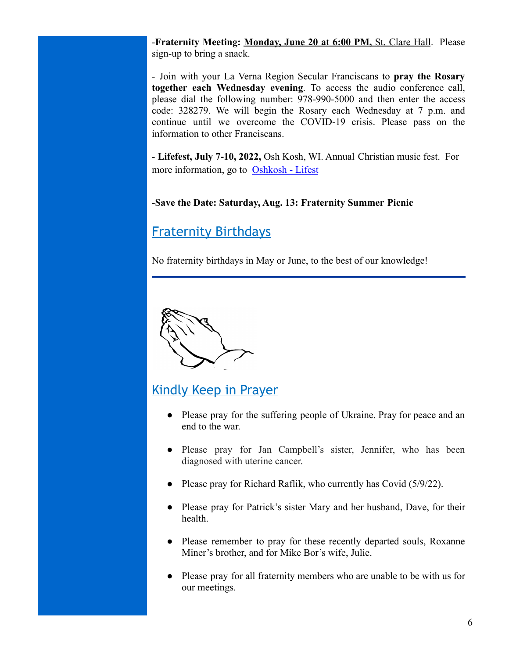-**Fraternity Meeting: Monday, June 20 at 6:00 PM,** St. Clare Hall. Please sign-up to bring a snack.

- Join with your La Verna Region Secular Franciscans to **pray the Rosary together each Wednesday evening**. To access the audio conference call, please dial the following number: 978-990-5000 and then enter the access code: 328279. We will begin the Rosary each Wednesday at 7 p.m. and continue until we overcome the COVID-19 crisis. Please pass on the information to other Franciscans.

- **Lifefest, July 7-10, 2022,** Osh Kosh, WI. Annual Christian music fest. For more information, go to [Oshkosh - Lifest](https://lifest.com/oshkosh/)

### -**Save the Date: Saturday, Aug. 13: Fraternity Summer Picnic**

# Fraternity Birthdays

No fraternity birthdays in May or June, to the best of our knowledge!



# Kindly Keep in Prayer

- Please pray for the suffering people of Ukraine. Pray for peace and an end to the war.
- Please pray for Jan Campbell's sister, Jennifer, who has been diagnosed with uterine cancer.
- Please pray for Richard Raflik, who currently has Covid (5/9/22).
- Please pray for Patrick's sister Mary and her husband, Dave, for their health.
- Please remember to pray for these recently departed souls, Roxanne Miner's brother, and for Mike Bor's wife, Julie.
- Please pray for all fraternity members who are unable to be with us for our meetings.